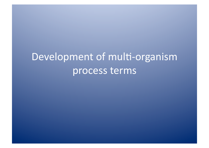## Development of multi-organism process terms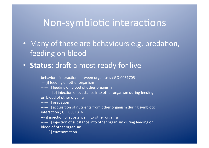## Non-symbiotic interactions

- Many of these are behaviours e.g. predation, feeding on blood
- Status: draft almost ready for live

behavioral interaction between organisms; GO:0051705

---[i] feeding on other organism

------[i] feeding on blood of other organism

---------[p] injection of substance into other organism during feeding on blood of other organism

------[i] predation

------[i] acquisition of nutrients from other organism during symbiotic interaction; GO:0051816

---[i] injection of substance in to other organism

------[i] injection of substance into other organism during feeding on blood of other organism

------[i] envenomation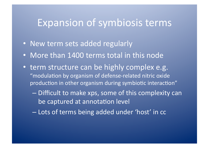## Expansion of symbiosis terms

- New term sets added regularly
- More than 1400 terms total in this node
- term structure can be highly complex e.g. "modulation by organism of defense-related nitric oxide production in other organism during symbiotic interaction"
	- Difficult to make xps, some of this complexity can be captured at annotation level
	- Lots of terms being added under 'host' in cc